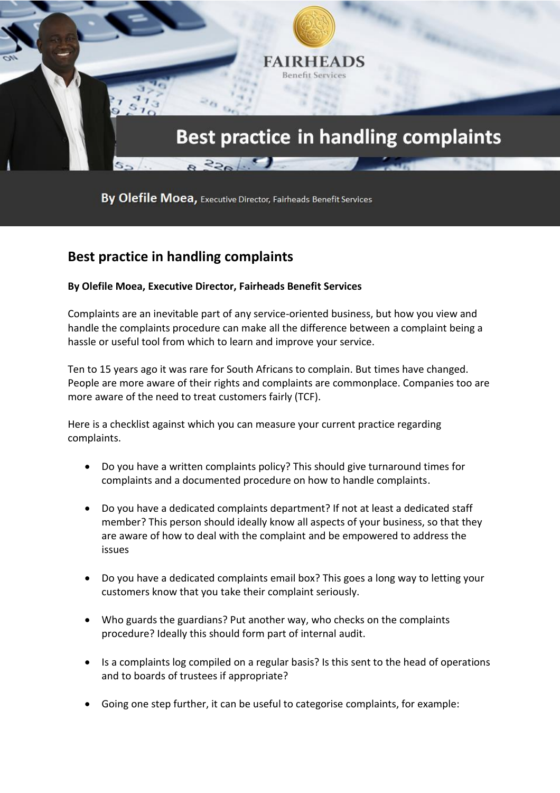

By Olefile Moea, Executive Director, Fairheads Benefit Services

## **Best practice in handling complaints**

## **By Olefile Moea, Executive Director, Fairheads Benefit Services**

Complaints are an inevitable part of any service-oriented business, but how you view and handle the complaints procedure can make all the difference between a complaint being a hassle or useful tool from which to learn and improve your service.

Ten to 15 years ago it was rare for South Africans to complain. But times have changed. People are more aware of their rights and complaints are commonplace. Companies too are more aware of the need to treat customers fairly (TCF).

Here is a checklist against which you can measure your current practice regarding complaints.

- Do you have a written complaints policy? This should give turnaround times for complaints and a documented procedure on how to handle complaints.
- Do you have a dedicated complaints department? If not at least a dedicated staff member? This person should ideally know all aspects of your business, so that they are aware of how to deal with the complaint and be empowered to address the issues
- Do you have a dedicated complaints email box? This goes a long way to letting your customers know that you take their complaint seriously.
- Who guards the guardians? Put another way, who checks on the complaints procedure? Ideally this should form part of internal audit.
- Is a complaints log compiled on a regular basis? Is this sent to the head of operations and to boards of trustees if appropriate?
- Going one step further, it can be useful to categorise complaints, for example: